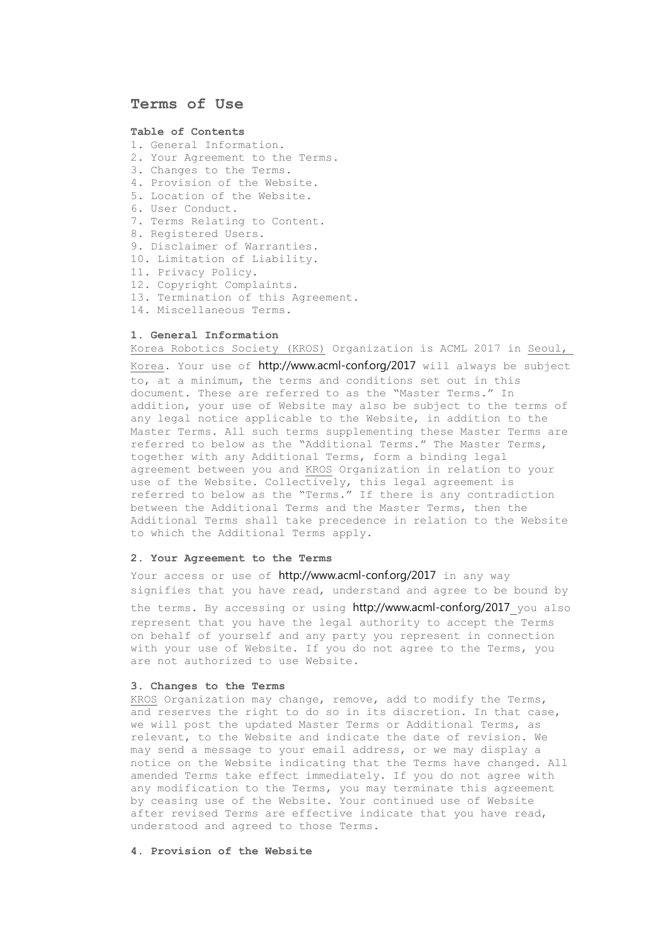# **Terms of Use**

## **Table of Contents**

- 1. General Information.
- 2. Your Agreement to the Terms.
- 3. Changes to the Terms.
- 4. Provision of the Website.
- 5. Location of the Website.
- 6. User Conduct.
- 7. Terms Relating to Content.
- 8. Registered Users.
- 9. Disclaimer of Warranties.
- 10. Limitation of Liability.
- 11. Privacy Policy.
- 12. Copyright Complaints.
- 13. Termination of this Agreement.
- 14. Miscellaneous Terms.

## **1. General Information**

Korea Robotics Society (KROS) Organization is ACML 2017 in Seoul,

Korea. Your use of http://www.acml-conf.org/2017 will always be subject to, at a minimum, the terms and conditions set out in this document. These are referred to as the "Master Terms." In addition, your use of Website may also be subject to the terms of any legal notice applicable to the Website, in addition to the Master Terms. All such terms supplementing these Master Terms are referred to below as the "Additional Terms." The Master Terms, together with any Additional Terms, form a binding legal agreement between you and KROS Organization in relation to your use of the Website. Collectively, this legal agreement is referred to below as the "Terms." If there is any contradiction between the Additional Terms and the Master Terms, then the Additional Terms shall take precedence in relation to the Website to which the Additional Terms apply.

## **2. Your Agreement to the Terms**

Your access or use of http://www.acml-conf.org/2017 in any way signifies that you have read, understand and agree to be bound by the terms. By accessing or using http://www.acml-conf.org/2017 you also represent that you have the legal authority to accept the Terms on behalf of yourself and any party you represent in connection with your use of Website. If you do not agree to the Terms, you are not authorized to use Website.

#### **3. Changes to the Terms**

KROS Organization may change, remove, add to modify the Terms, and reserves the right to do so in its discretion. In that case, we will post the updated Master Terms or Additional Terms, as relevant, to the Website and indicate the date of revision. We may send a message to your email address, or we may display a notice on the Website indicating that the Terms have changed. All amended Terms take effect immediately. If you do not agree with any modification to the Terms, you may terminate this agreement by ceasing use of the Website. Your continued use of Website after revised Terms are effective indicate that you have read, understood and agreed to those Terms.

### **4. Provision of the Website**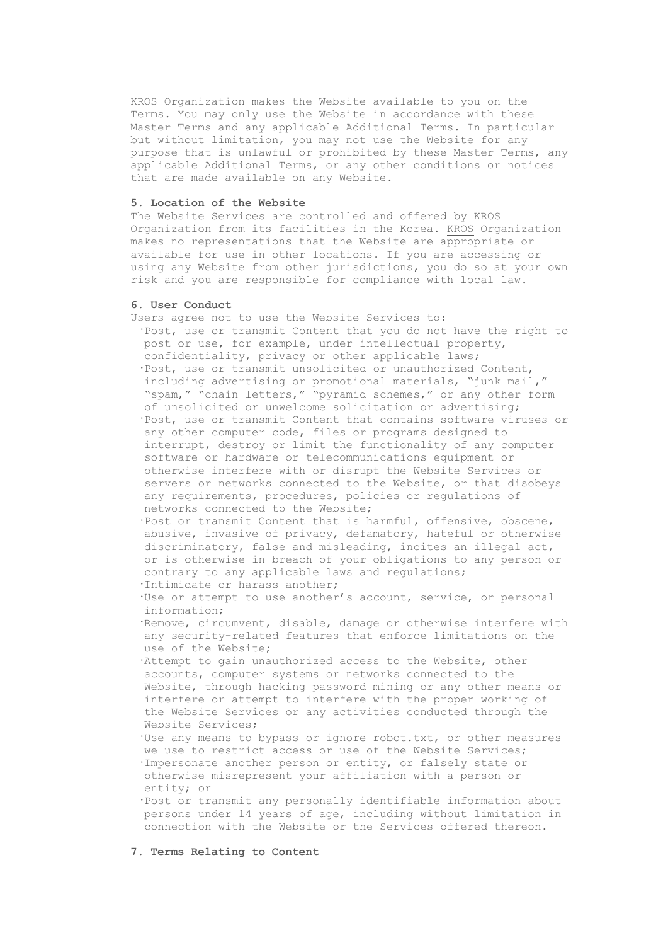KROS Organization makes the Website available to you on the Terms. You may only use the Website in accordance with these Master Terms and any applicable Additional Terms. In particular but without limitation, you may not use the Website for any purpose that is unlawful or prohibited by these Master Terms, any applicable Additional Terms, or any other conditions or notices that are made available on any Website.

## **5. Location of the Website**

The Website Services are controlled and offered by KROS Organization from its facilities in the Korea. KROS Organization makes no representations that the Website are appropriate or available for use in other locations. If you are accessing or using any Website from other jurisdictions, you do so at your own risk and you are responsible for compliance with local law.

#### **6. User Conduct**

Users agree not to use the Website Services to: **·**Post, use or transmit Content that you do not have the right to post or use, for example, under intellectual property, confidentiality, privacy or other applicable laws; **·**Post, use or transmit unsolicited or unauthorized Content, including advertising or promotional materials, "junk mail," "spam," "chain letters," "pyramid schemes," or any other form of unsolicited or unwelcome solicitation or advertising; **·**Post, use or transmit Content that contains software viruses or any other computer code, files or programs designed to interrupt, destroy or limit the functionality of any computer software or hardware or telecommunications equipment or otherwise interfere with or disrupt the Website Services or servers or networks connected to the Website, or that disobeys any requirements, procedures, policies or regulations of networks connected to the Website; **·**Post or transmit Content that is harmful, offensive, obscene,

abusive, invasive of privacy, defamatory, hateful or otherwise discriminatory, false and misleading, incites an illegal act, or is otherwise in breach of your obligations to any person or contrary to any applicable laws and regulations; **·**Intimidate or harass another;

**·**Use or attempt to use another's account, service, or personal information;

**·**Remove, circumvent, disable, damage or otherwise interfere with any security-related features that enforce limitations on the use of the Website;

**·**Attempt to gain unauthorized access to the Website, other accounts, computer systems or networks connected to the Website, through hacking password mining or any other means or interfere or attempt to interfere with the proper working of the Website Services or any activities conducted through the Website Services;

**·**Use any means to bypass or ignore robot.txt, or other measures we use to restrict access or use of the Website Services; **·**Impersonate another person or entity, or falsely state or otherwise misrepresent your affiliation with a person or entity; or

**·**Post or transmit any personally identifiable information about persons under 14 years of age, including without limitation in connection with the Website or the Services offered thereon.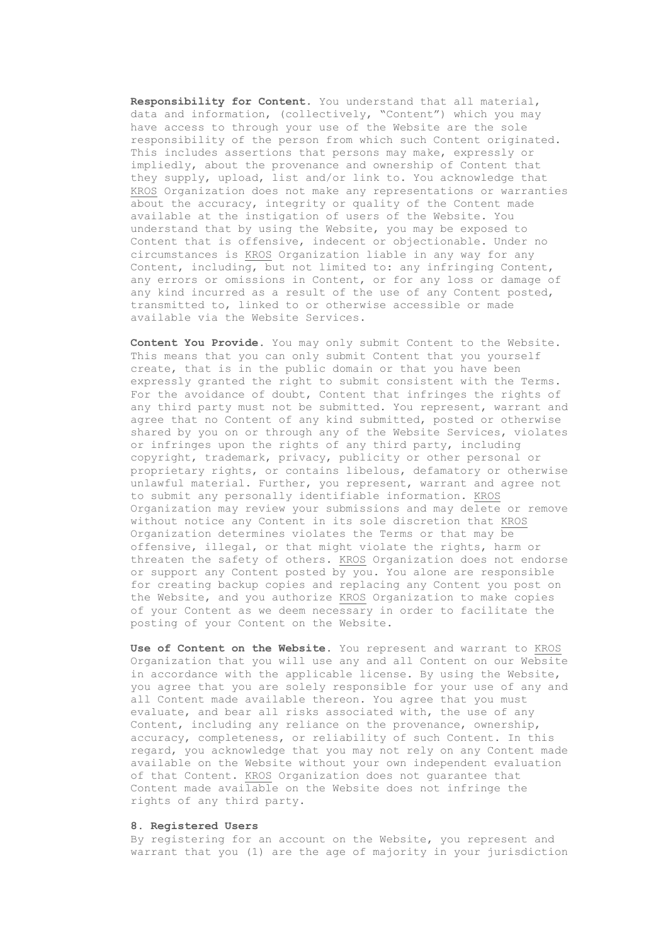**Responsibility for Content.** You understand that all material, data and information, (collectively, "Content") which you may have access to through your use of the Website are the sole responsibility of the person from which such Content originated. This includes assertions that persons may make, expressly or impliedly, about the provenance and ownership of Content that they supply, upload, list and/or link to. You acknowledge that KROS Organization does not make any representations or warranties about the accuracy, integrity or quality of the Content made available at the instigation of users of the Website. You understand that by using the Website, you may be exposed to Content that is offensive, indecent or objectionable. Under no circumstances is KROS Organization liable in any way for any Content, including, but not limited to: any infringing Content, any errors or omissions in Content, or for any loss or damage of any kind incurred as a result of the use of any Content posted, transmitted to, linked to or otherwise accessible or made available via the Website Services.

**Content You Provide.** You may only submit Content to the Website. This means that you can only submit Content that you yourself create, that is in the public domain or that you have been expressly granted the right to submit consistent with the Terms. For the avoidance of doubt, Content that infringes the rights of any third party must not be submitted. You represent, warrant and agree that no Content of any kind submitted, posted or otherwise shared by you on or through any of the Website Services, violates or infringes upon the rights of any third party, including copyright, trademark, privacy, publicity or other personal or proprietary rights, or contains libelous, defamatory or otherwise unlawful material. Further, you represent, warrant and agree not to submit any personally identifiable information. KROS Organization may review your submissions and may delete or remove without notice any Content in its sole discretion that KROS Organization determines violates the Terms or that may be offensive, illegal, or that might violate the rights, harm or threaten the safety of others. KROS Organization does not endorse or support any Content posted by you. You alone are responsible for creating backup copies and replacing any Content you post on the Website, and you authorize KROS Organization to make copies of your Content as we deem necessary in order to facilitate the posting of your Content on the Website.

**Use of Content on the Website.** You represent and warrant to KROS Organization that you will use any and all Content on our Website in accordance with the applicable license. By using the Website, you agree that you are solely responsible for your use of any and all Content made available thereon. You agree that you must evaluate, and bear all risks associated with, the use of any Content, including any reliance on the provenance, ownership, accuracy, completeness, or reliability of such Content. In this regard, you acknowledge that you may not rely on any Content made available on the Website without your own independent evaluation of that Content. KROS Organization does not guarantee that Content made available on the Website does not infringe the rights of any third party.

## **8. Registered Users**

By registering for an account on the Website, you represent and warrant that you (1) are the age of majority in your jurisdiction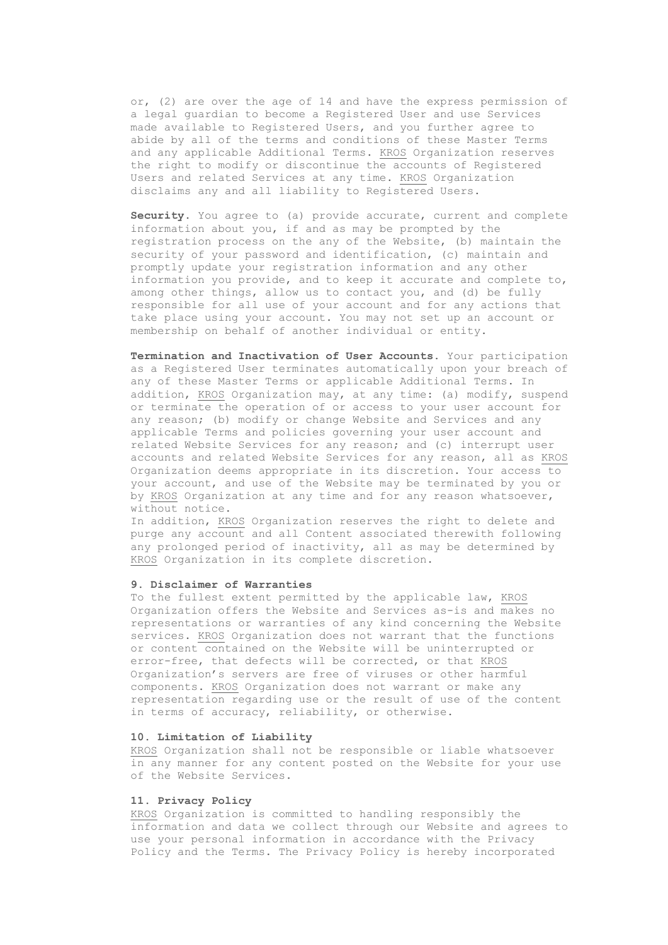or, (2) are over the age of 14 and have the express permission of a legal guardian to become a Registered User and use Services made available to Registered Users, and you further agree to abide by all of the terms and conditions of these Master Terms and any applicable Additional Terms. KROS Organization reserves the right to modify or discontinue the accounts of Registered Users and related Services at any time. KROS Organization disclaims any and all liability to Registered Users.

**Security.** You agree to (a) provide accurate, current and complete information about you, if and as may be prompted by the registration process on the any of the Website, (b) maintain the security of your password and identification, (c) maintain and promptly update your registration information and any other information you provide, and to keep it accurate and complete to, among other things, allow us to contact you, and (d) be fully responsible for all use of your account and for any actions that take place using your account. You may not set up an account or membership on behalf of another individual or entity.

**Termination and Inactivation of User Accounts.** Your participation as a Registered User terminates automatically upon your breach of any of these Master Terms or applicable Additional Terms. In addition, KROS Organization may, at any time: (a) modify, suspend or terminate the operation of or access to your user account for any reason; (b) modify or change Website and Services and any applicable Terms and policies governing your user account and related Website Services for any reason; and (c) interrupt user accounts and related Website Services for any reason, all as KROS Organization deems appropriate in its discretion. Your access to your account, and use of the Website may be terminated by you or by KROS Organization at any time and for any reason whatsoever, without notice.

In addition, KROS Organization reserves the right to delete and purge any account and all Content associated therewith following any prolonged period of inactivity, all as may be determined by KROS Organization in its complete discretion.

## **9. Disclaimer of Warranties**

To the fullest extent permitted by the applicable law, KROS Organization offers the Website and Services as-is and makes no representations or warranties of any kind concerning the Website services. KROS Organization does not warrant that the functions or content contained on the Website will be uninterrupted or error-free, that defects will be corrected, or that KROS Organization's servers are free of viruses or other harmful components. KROS Organization does not warrant or make any representation regarding use or the result of use of the content in terms of accuracy, reliability, or otherwise.

### **10. Limitation of Liability**

KROS Organization shall not be responsible or liable whatsoever in any manner for any content posted on the Website for your use of the Website Services.

## **11. Privacy Policy**

KROS Organization is committed to handling responsibly the information and data we collect through our Website and agrees to use your personal information in accordance with the Privacy Policy and the Terms. The Privacy Policy is hereby incorporated